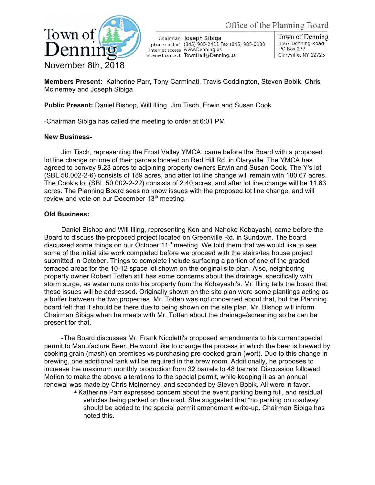

Chairman Joseph Sibiga phone contact (845) 985-2411 Fax (845) 985-0188 internet access WWW.Denning.us internet contact TownHall@Denning.us

Town of Denning 1567 Denning Road PO Box 277 Claryville, NY 12725

**Members Present:** Katherine Parr, Tony Carminati, Travis Coddington, Steven Bobik, Chris McInerney and Joseph Sibiga

**Public Present:** Daniel Bishop, Will Illing, Jim Tisch, Erwin and Susan Cook

-Chairman Sibiga has called the meeting to order at 6:01 PM

## **New Business-**

Jim Tisch, representing the Frost Valley YMCA, came before the Board with a proposed lot line change on one of their parcels located on Red Hill Rd. in Claryville. The YMCA has agreed to convey 9.23 acres to adjoining property owners Erwin and Susan Cook. The Y's lot (SBL 50.002-2-6) consists of 189 acres, and after lot line change will remain with 180.67 acres. The Cook's lot (SBL 50.002-2-22) consists of 2.40 acres, and after lot line change will be 11.63 acres. The Planning Board sees no know issues with the proposed lot line change, and will review and vote on our December  $13<sup>th</sup>$  meeting.

## **Old Business:**

Daniel Bishop and Will Illing, representing Ken and Nahoko Kobayashi, came before the Board to discuss the proposed project located on Greenville Rd. in Sundown. The board discussed some things on our October  $11<sup>th</sup>$  meeting. We told them that we would like to see some of the initial site work completed before we proceed with the stairs/tea house project submitted in October. Things to complete include surfacing a portion of one of the graded terraced areas for the 10-12 space lot shown on the original site plan. Also, neighboring property owner Robert Totten still has some concerns about the drainage, specifically with storm surge, as water runs onto his property from the Kobayashi's. Mr. Illing tells the board that these issues will be addressed. Originally shown on the site plan were some plantings acting as a buffer between the two properties. Mr. Totten was not concerned about that, but the Planning board felt that it should be there due to being shown on the site plan. Mr. Bishop will inform Chairman Sibiga when he meets with Mr. Totten about the drainage/screening so he can be present for that.

-The Board discusses Mr. Frank Nicoletti's proposed amendments to his current special permit to Manufacture Beer. He would like to change the process in which the beer is brewed by cooking grain (mash) on premises vs purchasing pre-cooked grain (wort). Due to this change in brewing, one additional tank will be required in the brew room. Additionally, he proposes to increase the maximum monthly production from 32 barrels to 48 barrels. Discussion followed. Motion to make the above alterations to the special permit, while keeping it as an annual renewal was made by Chris McInerney, and seconded by Steven Bobik. All were in favor.

 $\triangle$  Katherine Parr expressed concern about the event parking being full, and residual vehicles being parked on the road. She suggested that "no parking on roadway" should be added to the special permit amendment write-up. Chairman Sibiga has noted this.